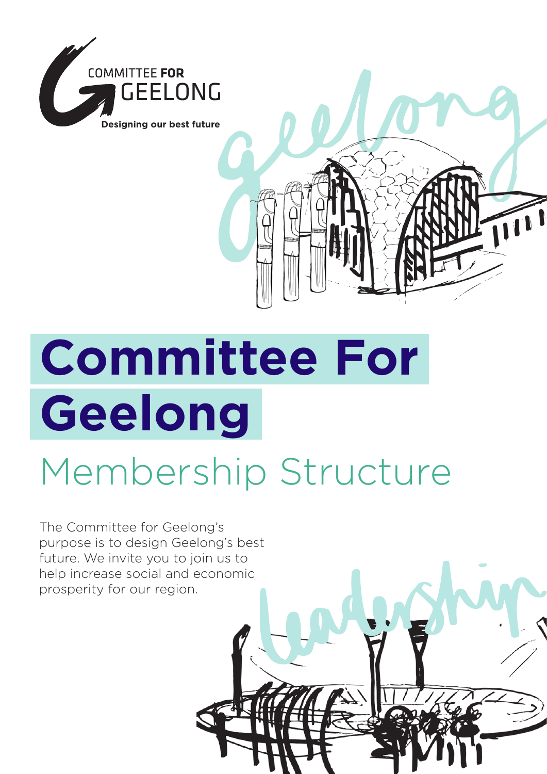

# **Committee For Geelong**

## Membership Structure

The Committee for Geelong's purpose is to design Geelong's best future. We invite you to join us to help increase social and economic prosperity for our region.



 $\overline{\mathbf{u}}$